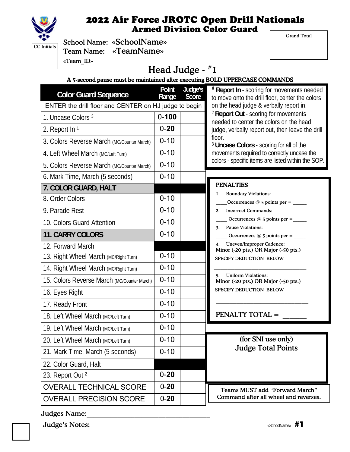

Grand Total

|            | Sch  |
|------------|------|
| C Initials |      |
|            | Tea  |
|            | «Tea |

ool Name: «SchoolName» m Name: «TeamName»  $\mathbf{m}$  ID»

# Head Judge -  $*1$

#### A 5-second pause must be maintained after executing BOLD UPPERCASE COMMANDS

| <b>Color Guard Sequence</b>                           | Point<br>Range | Judge's<br>Score | <b>Example 1 Report In - scoring for movements needed</b><br>to move onto the drill floor, center the colors |
|-------------------------------------------------------|----------------|------------------|--------------------------------------------------------------------------------------------------------------|
| ENTER the drill floor and CENTER on HJ judge to begin |                |                  | on the head judge & verbally report in.                                                                      |
| 1. Uncase Colors <sup>3</sup>                         | $0 - 100$      |                  | <sup>2</sup> Report Out - scoring for movements<br>needed to center the colors on the head                   |
| 2. Report In 1                                        | $0 - 20$       |                  | judge, verbally report out, then leave the drill                                                             |
| 3. Colors Reverse March (MC/Counter March)            | $0 - 10$       |                  | floor.<br><sup>3</sup> Uncase Colors - scoring for all of the                                                |
| 4. Left Wheel March (MC/Left Turn)                    | $0 - 10$       |                  | movements required to correctly uncase the                                                                   |
| 5. Colors Reverse March (MC/Counter March)            | $0 - 10$       |                  | colors - specific items are listed within the SOP.                                                           |
| 6. Mark Time, March (5 seconds)                       | $0 - 10$       |                  |                                                                                                              |
| 7. COLOR GUARD, HALT                                  |                |                  | <b>PENALTIES</b>                                                                                             |
| 8. Order Colors                                       | $0 - 10$       |                  | <b>Boundary Violations:</b><br>1.                                                                            |
| 9. Parade Rest                                        | $0 - 10$       |                  | <b>Incorrect Commands:</b><br>2.                                                                             |
| 10. Colors Guard Attention                            | $0 - 10$       |                  | Occurrences $@$ 5 points per =<br><b>Pause Violations:</b><br>3.                                             |
| <b>11. CARRY COLORS</b>                               | $0 - 10$       |                  | Occurrences $@$ 5 points per = $\_\_$                                                                        |
| 12. Forward March                                     |                |                  | <b>Uneven/Improper Cadence:</b><br>4.<br>Minor (-20 pts.) OR Major (-50 pts.)                                |
| 13. Right Wheel March (MC/Right Turn)                 | $0 - 10$       |                  | SPECIFY DEDUCTION BELOW                                                                                      |
| 14. Right Wheel March (MC/Right Turn)                 | $0 - 10$       |                  |                                                                                                              |
| 15. Colors Reverse March (MC/Counter March)           | $0 - 10$       |                  | <b>Uniform Violations:</b><br>5.<br>Minor (-20 pts.) OR Major (-50 pts.)                                     |
| 16. Eyes Right                                        | $0 - 10$       |                  | SPECIFY DEDUCTION BELOW                                                                                      |
| 17. Ready Front                                       | $0 - 10$       |                  |                                                                                                              |
| 18. Left Wheel March (MC/Left Turn)                   | $0 - 10$       |                  | <b>PENALTY TOTAL =</b>                                                                                       |
| 19. Left Wheel March (MC/Left Turn)                   | $0 - 10$       |                  |                                                                                                              |
| 20. Left Wheel March (MC/Left Turn)                   | $0 - 10$       |                  | (for SNI use only)                                                                                           |
| 21. Mark Time, March (5 seconds)                      | $0 - 10$       |                  | <b>Judge Total Points</b>                                                                                    |
| 22. Color Guard, Halt                                 |                |                  |                                                                                                              |
| 23. Report Out 2                                      | $0 - 20$       |                  |                                                                                                              |
| <b>OVERALL TECHNICAL SCORE</b>                        | $0 - 20$       |                  | <b>Teams MUST add "Forward March"</b>                                                                        |
| <b>OVERALL PRECISION SCORE</b>                        | $0 - 20$       |                  | Command after all wheel and reverses.                                                                        |

Judges Name:

Judge's Notes:  $\overline{H}$  and  $\overline{H}$  and  $\overline{H}$  and  $\overline{H}$  and  $\overline{H}$  and  $\overline{H}$  and  $\overline{H}$  and  $\overline{H}$  and  $\overline{H}$  and  $\overline{H}$  and  $\overline{H}$  and  $\overline{H}$  and  $\overline{H}$  and  $\overline{H}$  and  $\overline{H}$  and  $\overline{H}$  and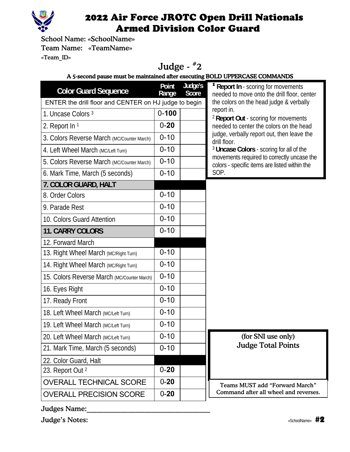

School Name: «SchoolName» Team Name: «TeamName» «Team\_ID»

#### Judge - #2 A 5-second pause must be maintained after executing BOLD UPPERCASE COMMANDS

| <b>Color Guard Sequence</b>                           | Point<br>Range | Judge's<br>Score | <b><sup>1</sup> Report In - scoring for movements</b><br>needed to move onto the drill floor, center |
|-------------------------------------------------------|----------------|------------------|------------------------------------------------------------------------------------------------------|
| ENTER the drill floor and CENTER on HJ judge to begin |                |                  | the colors on the head judge & verbally                                                              |
| 1. Uncase Colors 3                                    | $0 - 100$      |                  | report in.<br><sup>2</sup> Report Out - scoring for movements                                        |
| 2. Report In 1                                        | $0 - 20$       |                  | needed to center the colors on the head                                                              |
| 3. Colors Reverse March (MC/Counter March)            | $0 - 10$       |                  | judge, verbally report out, then leave the<br>drill floor.                                           |
| 4. Left Wheel March (MC/Left Turn)                    | $0 - 10$       |                  | <sup>3</sup> Uncase Colors - scoring for all of the                                                  |
| 5. Colors Reverse March (MC/Counter March)            | $0 - 10$       |                  | movements required to correctly uncase the<br>colors - specific items are listed within the          |
| 6. Mark Time, March (5 seconds)                       | $0 - 10$       |                  | SOP.                                                                                                 |
| 7. COLOR GUARD, HALT                                  |                |                  |                                                                                                      |
| 8. Order Colors                                       | $0 - 10$       |                  |                                                                                                      |
| 9. Parade Rest                                        | $0 - 10$       |                  |                                                                                                      |
| 10. Colors Guard Attention                            | $0 - 10$       |                  |                                                                                                      |
| 11. CARRY COLORS                                      | $0 - 10$       |                  |                                                                                                      |
| 12. Forward March                                     |                |                  |                                                                                                      |
| 13. Right Wheel March (MC/Right Turn)                 | $0 - 10$       |                  |                                                                                                      |
| 14. Right Wheel March (MC/Right Turn)                 | $0 - 10$       |                  |                                                                                                      |
| 15. Colors Reverse March (MC/Counter March)           | $0 - 10$       |                  |                                                                                                      |
| 16. Eyes Right                                        | $0 - 10$       |                  |                                                                                                      |
| 17. Ready Front                                       | $0 - 10$       |                  |                                                                                                      |
| 18. Left Wheel March (MC/Left Turn)                   | $0 - 10$       |                  |                                                                                                      |
| 19. Left Wheel March (MC/Left Turn)                   | $0 - 10$       |                  |                                                                                                      |
| 20. Left Wheel March (MC/Left Turn)                   | $0 - 10$       |                  | (for SNI use only)                                                                                   |
| 21. Mark Time, March (5 seconds)                      | $0 - 10$       |                  | <b>Judge Total Points</b>                                                                            |
| 22. Color Guard, Halt                                 |                |                  |                                                                                                      |
| 23. Report Out <sup>2</sup>                           | $0 - 20$       |                  |                                                                                                      |
| <b>OVERALL TECHNICAL SCORE</b>                        | $0 - 20$       |                  | <b>Teams MUST add "Forward March"</b>                                                                |
| <b>OVERALL PRECISION SCORE</b>                        | $0 - 20$       |                  | Command after all wheel and reverses.                                                                |

Judges Name:

Judge's Notes: «SchoolName» #2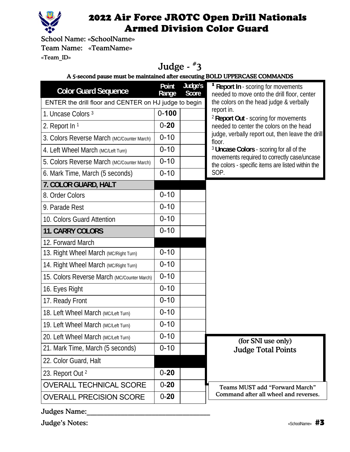

School Name: «SchoolName» Team Name: «TeamName» «Team\_ID»

# Judge - #3

A 5-second pause must be maintained after executing BOLD UPPERCASE COMMANDS

| <b>Color Guard Sequence</b>                           | Point<br>Range | Judge's<br>Score | <b>Example 1 Report In - scoring for movements</b><br>needed to move onto the drill floor, center |
|-------------------------------------------------------|----------------|------------------|---------------------------------------------------------------------------------------------------|
| ENTER the drill floor and CENTER on HJ judge to begin |                |                  | the colors on the head judge & verbally                                                           |
| 1. Uncase Colors 3                                    | $0 - 100$      |                  | report in.<br><sup>2</sup> Report Out - scoring for movements                                     |
| 2. Report In 1                                        | $0 - 20$       |                  | needed to center the colors on the head                                                           |
| 3. Colors Reverse March (MC/Counter March)            | $0 - 10$       |                  | judge, verbally report out, then leave the drill<br>floor.                                        |
| 4. Left Wheel March (MC/Left Turn)                    | $0 - 10$       |                  | <sup>3</sup> Uncase Colors - scoring for all of the                                               |
| 5. Colors Reverse March (MC/Counter March)            | $0 - 10$       |                  | movements required to correctly case/uncase<br>the colors - specific items are listed within the  |
| 6. Mark Time, March (5 seconds)                       | $0 - 10$       |                  | SOP.                                                                                              |
| 7. COLOR GUARD, HALT                                  |                |                  |                                                                                                   |
| 8. Order Colors                                       | $0 - 10$       |                  |                                                                                                   |
| 9. Parade Rest                                        | $0 - 10$       |                  |                                                                                                   |
| 10. Colors Guard Attention                            | $0 - 10$       |                  |                                                                                                   |
| <b>11. CARRY COLORS</b>                               | $0 - 10$       |                  |                                                                                                   |
| 12. Forward March                                     |                |                  |                                                                                                   |
| 13. Right Wheel March (MC/Right Turn)                 | $0 - 10$       |                  |                                                                                                   |
| 14. Right Wheel March (MC/Right Turn)                 | $0 - 10$       |                  |                                                                                                   |
| 15. Colors Reverse March (MC/Counter March)           | $0 - 10$       |                  |                                                                                                   |
| 16. Eyes Right                                        | $0 - 10$       |                  |                                                                                                   |
| 17. Ready Front                                       | $0 - 10$       |                  |                                                                                                   |
| 18. Left Wheel March (MC/Left Turn)                   | $0 - 10$       |                  |                                                                                                   |
| 19. Left Wheel March (MC/Left Turn)                   | $0 - 10$       |                  |                                                                                                   |
| 20. Left Wheel March (MC/Left Turn)                   | $0 - 10$       |                  | (for SNI use only)                                                                                |
| 21. Mark Time, March (5 seconds)                      | $0 - 10$       |                  | <b>Judge Total Points</b>                                                                         |
| 22. Color Guard, Halt                                 |                |                  |                                                                                                   |
| 23. Report Out 2                                      | $0 - 20$       |                  |                                                                                                   |
| <b>OVERALL TECHNICAL SCORE</b>                        | $0 - 20$       |                  | <b>Teams MUST add "Forward March"</b>                                                             |
| <b>OVERALL PRECISION SCORE</b>                        | $0 - 20$       |                  | Command after all wheel and reverses.                                                             |

Judges Name:

Judge's Notes: «SchoolName» #3